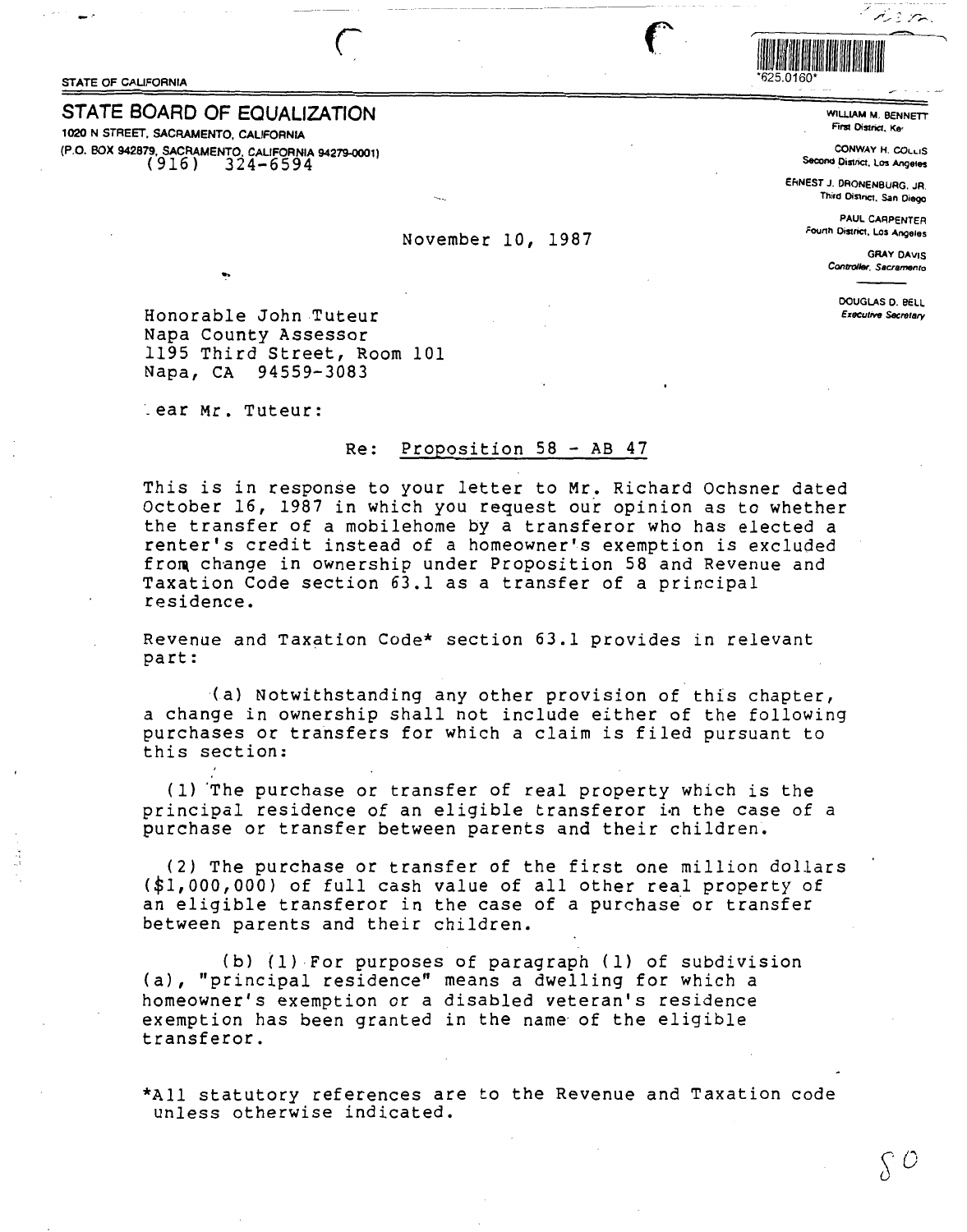STATE OF CALIFORNIA TEST AND STATE OF CALIFORNIA

## **STATE BOARD OF EQUALIZATION**

1020 N STREET, SACRAMENTO, CALIFORNIA (P.O. BOX 942879, SACRAMENTO. CALIFORNIA 94279-0001) ( 916) 324-6594



WILLIAM M. BENNETT First District, Ke<sup>r</sup>

tie m

CONWAY H. COLLIS Second District. Los Angeles

EfiNESTJ. DAONENBURG.JR. Third District, San Diego

> PAUL CARPENTER Founh District. Los Angeias

> > GRAY DAVIS Controller, Sacramento

> > > DOUGLAS 0. BELL **Executive Secretary**

Honorable John Tuteur Napa County Assessor 1195 Third Street, Room 101<br>Napa, CA 94559-3083 94559-3083

\_ ear Mr. Tuteur:

## Re: Proposition 58 - AB 47

November 10, 1987

This is in response to your letter to **Mr.** Richard Ochsner dated October 16, 1987 in which you request our opinion as to whether the transfer of a mobilehome by a transferor who has elected a renter's credit instead of a homeowner's exemption is excluded from change in ownership under Proposition 58 and Revenue and Taxation Code section 63.1 as a transfer of a principal residence.

Revenue and Taxation Code\* section 63.1 provides in relevant part:

(a) Notwithstanding any other provision of this chapter, a change in ownership shall not include either of the following purchases or transfers for which a claim is filed pursuant to this section:

( 1) "The purchase or transfer of real property which is the principal residence of an eligible transferor in the case of a purchase or transfer between parents and their children.

(2) The purchase or transfer of the first one million dollars (\$1,000,000) of full cash value of all other real property of an eligible transferor in the case of a purchase or transfer between parents and their children.

(b) (1) For purposes of paragraph (1) of subdivision (a), "principal residence" means a dwelling for which a homeowner's exemption or a disabled veteran's residence exemption has been granted in the name· of the eligible transferor.

\*All statutory references are to the Revenue and Taxation code unless otherwise indicated.